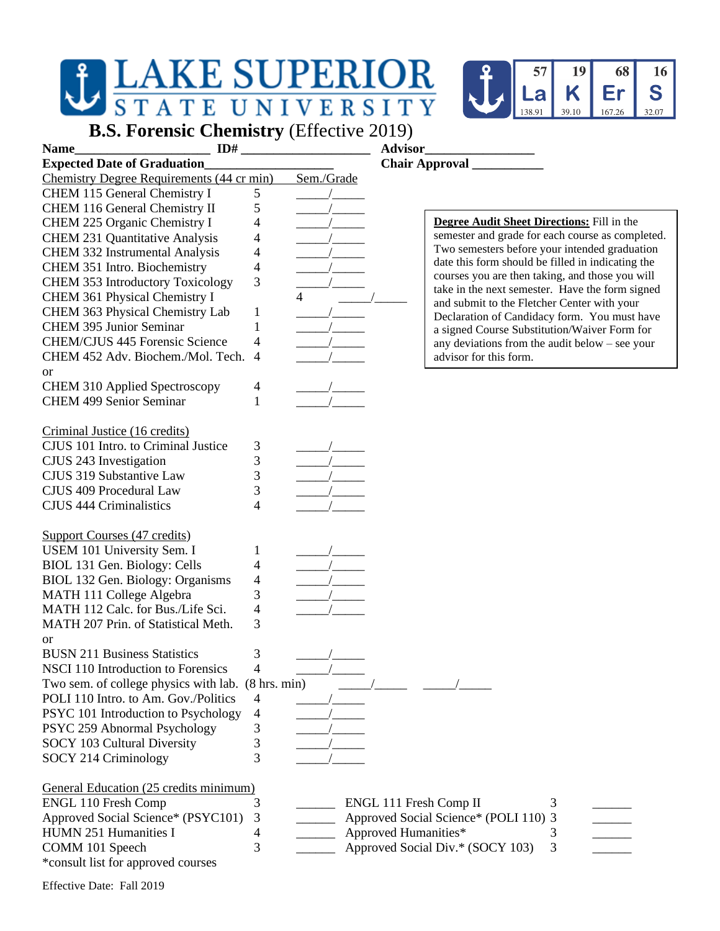

**B.S. Forensic Chemistry** (Effective 2019)

| ID#<br>Name                                        |              |            | <b>Advisor</b>         |                                                   |  |  |
|----------------------------------------------------|--------------|------------|------------------------|---------------------------------------------------|--|--|
| <b>Expected Date of Graduation</b>                 |              |            |                        |                                                   |  |  |
| Chemistry Degree Requirements (44 cr min)          |              | Sem./Grade |                        |                                                   |  |  |
| CHEM 115 General Chemistry I                       | 5            |            |                        |                                                   |  |  |
| CHEM 116 General Chemistry II                      | 5            |            |                        |                                                   |  |  |
| CHEM 225 Organic Chemistry I                       | 4            |            |                        | <b>Degree Audit Sheet Directions:</b> Fill in the |  |  |
| <b>CHEM 231 Quantitative Analysis</b>              | 4            |            |                        | semester and grade for each course as completed.  |  |  |
| CHEM 332 Instrumental Analysis                     | 4            |            |                        | Two semesters before your intended graduation     |  |  |
| CHEM 351 Intro. Biochemistry                       |              |            |                        | date this form should be filled in indicating the |  |  |
|                                                    | 4<br>3       |            |                        | courses you are then taking, and those you will   |  |  |
| CHEM 353 Introductory Toxicology                   |              |            |                        | take in the next semester. Have the form signed   |  |  |
| CHEM 361 Physical Chemistry I                      |              | 4          |                        | and submit to the Fletcher Center with your       |  |  |
| CHEM 363 Physical Chemistry Lab                    | $\mathbf{1}$ |            |                        | Declaration of Candidacy form. You must have      |  |  |
| <b>CHEM 395 Junior Seminar</b>                     | 1            |            |                        | a signed Course Substitution/Waiver Form for      |  |  |
| CHEM/CJUS 445 Forensic Science                     | 4            |            |                        | any deviations from the audit below $-$ see your  |  |  |
| CHEM 452 Adv. Biochem./Mol. Tech.                  | 4            |            |                        | advisor for this form.                            |  |  |
| <b>or</b>                                          |              |            |                        |                                                   |  |  |
| <b>CHEM 310 Applied Spectroscopy</b>               | 4            |            |                        |                                                   |  |  |
| <b>CHEM 499 Senior Seminar</b>                     | 1            |            |                        |                                                   |  |  |
|                                                    |              |            |                        |                                                   |  |  |
| Criminal Justice (16 credits)                      |              |            |                        |                                                   |  |  |
| CJUS 101 Intro. to Criminal Justice                | 3            |            |                        |                                                   |  |  |
| CJUS 243 Investigation                             | 3            |            |                        |                                                   |  |  |
| CJUS 319 Substantive Law                           | 3            |            |                        |                                                   |  |  |
| CJUS 409 Procedural Law                            | 3            |            |                        |                                                   |  |  |
| <b>CJUS 444 Criminalistics</b>                     | 4            |            |                        |                                                   |  |  |
|                                                    |              |            |                        |                                                   |  |  |
| Support Courses (47 credits)                       |              |            |                        |                                                   |  |  |
| USEM 101 University Sem. I                         | 1            |            |                        |                                                   |  |  |
| BIOL 131 Gen. Biology: Cells                       | 4            |            |                        |                                                   |  |  |
|                                                    |              |            |                        |                                                   |  |  |
| BIOL 132 Gen. Biology: Organisms                   | 4            |            |                        |                                                   |  |  |
| MATH 111 College Algebra                           | 3            |            |                        |                                                   |  |  |
| MATH 112 Calc. for Bus./Life Sci.                  | 4            |            |                        |                                                   |  |  |
| MATH 207 Prin. of Statistical Meth.                | 3            |            |                        |                                                   |  |  |
| <b>or</b>                                          |              |            |                        |                                                   |  |  |
| <b>BUSN 211 Business Statistics</b>                | 3            |            |                        |                                                   |  |  |
| NSCI 110 Introduction to Forensics                 | 4            |            |                        |                                                   |  |  |
| Two sem. of college physics with lab. (8 hrs. min) |              |            |                        |                                                   |  |  |
| POLI 110 Intro. to Am. Gov./Politics               | 4            |            |                        |                                                   |  |  |
| PSYC 101 Introduction to Psychology                | 4            |            |                        |                                                   |  |  |
| PSYC 259 Abnormal Psychology                       | 3            |            |                        |                                                   |  |  |
| SOCY 103 Cultural Diversity                        | 3            |            |                        |                                                   |  |  |
| SOCY 214 Criminology                               | 3            |            |                        |                                                   |  |  |
|                                                    |              |            |                        |                                                   |  |  |
| General Education (25 credits minimum)             |              |            |                        |                                                   |  |  |
| <b>ENGL 110 Fresh Comp</b>                         | 3            |            | ENGL 111 Fresh Comp II | 3                                                 |  |  |
| Approved Social Science* (PSYC101)                 | 3            |            |                        | Approved Social Science* (POLI 110) 3             |  |  |
| HUMN 251 Humanities I                              | 4            |            | Approved Humanities*   | 3                                                 |  |  |
| COMM 101 Speech                                    | 3            |            |                        | Approved Social Div.* (SOCY 103)<br>3             |  |  |
|                                                    |              |            |                        |                                                   |  |  |
| *consult list for approved courses                 |              |            |                        |                                                   |  |  |

Effective Date: Fall 2019